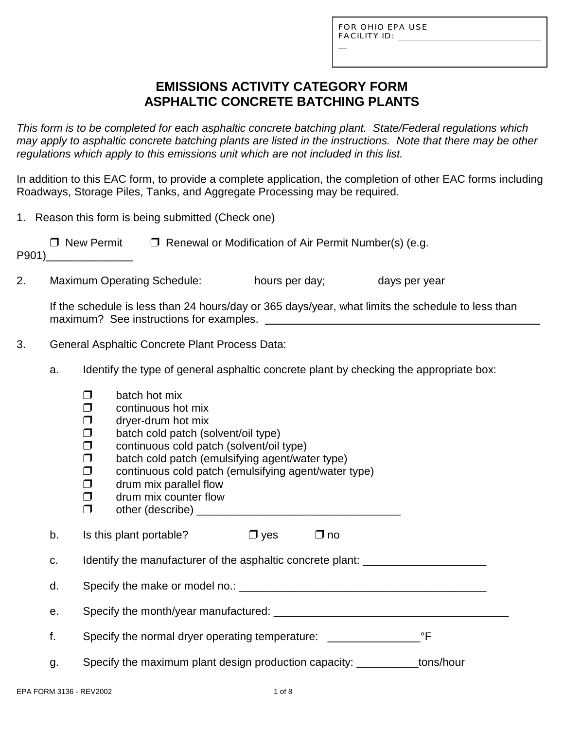L

# **EMISSIONS ACTIVITY CATEGORY FORM ASPHALTIC CONCRETE BATCHING PLANTS**

*This form is to be completed for each asphaltic concrete batching plant. State/Federal regulations which may apply to asphaltic concrete batching plants are listed in the instructions. Note that there may be other regulations which apply to this emissions unit which are not included in this list.*

In addition to this EAC form, to provide a complete application, the completion of other EAC forms including Roadways, Storage Piles, Tanks, and Aggregate Processing may be required.

|  |  |  |  |  | 1. Reason this form is being submitted (Check one) |  |
|--|--|--|--|--|----------------------------------------------------|--|
|--|--|--|--|--|----------------------------------------------------|--|

| □ New Permit | $\Box$ Renewal or Modification of Air Permit Number(s) (e.g. |
|--------------|--------------------------------------------------------------|
| P901)        |                                                              |

2. Maximum Operating Schedule: hours per day; days per year

If the schedule is less than 24 hours/day or 365 days/year, what limits the schedule to less than maximum? See instructions for examples.

- 3. General Asphaltic Concrete Plant Process Data:
	- a. Identify the type of general asphaltic concrete plant by checking the appropriate box:
		- $\Box$  batch hot mix
		- $\Box$  continuous hot mix
		- $\Box$  drver-drum hot mix
		- $\Box$  batch cold patch (solvent/oil type)
		- $\Box$  continuous cold patch (solvent/oil type)
		- $\square$  batch cold patch (emulsifying agent/water type)<br> $\square$  continuous cold patch (emulsifying agent/water
		- continuous cold patch (emulsifying agent/water type)
		- $\Box$  drum mix parallel flow
		- $\Box$  drum mix counter flow
		- " other (describe) \_\_\_\_\_\_\_\_\_\_\_\_\_\_\_\_\_\_\_\_\_\_\_\_\_\_\_\_\_\_\_\_\_

b. Is this plant portable?  $\Box$  yes  $\Box$  no

c. Identify the manufacturer of the asphaltic concrete plant:

d. Specify the make or model no.: \_\_\_\_\_\_\_\_\_\_\_\_\_\_\_\_\_\_\_\_\_\_\_\_\_\_\_\_\_\_\_\_\_\_\_\_\_\_\_\_

e. Specify the month/year manufactured:  $\blacksquare$ 

|  | Specify the normal dryer operating temperature: |  |
|--|-------------------------------------------------|--|
|--|-------------------------------------------------|--|

g. Specify the maximum plant design production capacity: \_\_\_\_\_\_\_\_\_\_tons/hour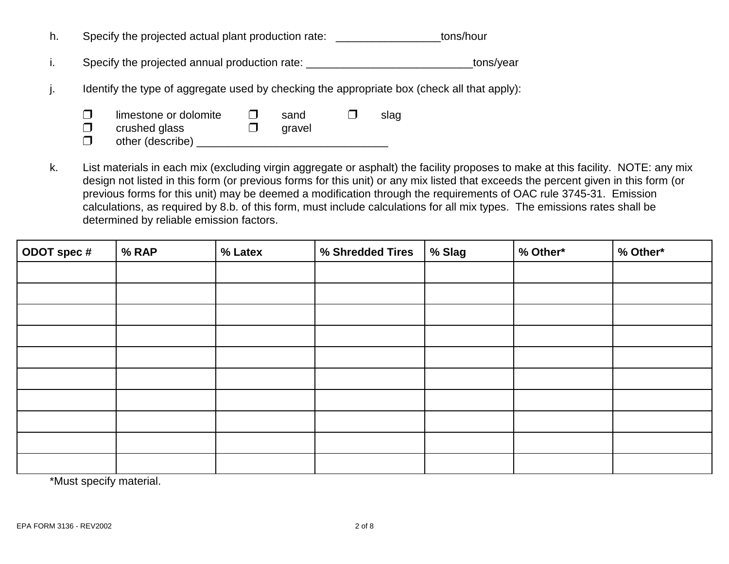|  |  | Specify the projected actual plant production rate: | tons/hour |
|--|--|-----------------------------------------------------|-----------|
|--|--|-----------------------------------------------------|-----------|

i. Specify the projected annual production rate: example and the state of the state of the state of the state of the state of the state of the state of the state of the state of the state of the state of the state of the s

j. Identify the type of aggregate used by checking the appropriate box (check all that apply):

| limestone or dolomite | sand   | slag |
|-----------------------|--------|------|
| crushed glass         | gravel |      |
| other (describe)      |        |      |

k. List materials in each mix (excluding virgin aggregate or asphalt) the facility proposes to make at this facility. NOTE: any mix design not listed in this form (or previous forms for this unit) or any mix listed that exceeds the percent given in this form (or previous forms for this unit) may be deemed a modification through the requirements of OAC rule 3745-31. Emission calculations, as required by 8.b. of this form, must include calculations for all mix types. The emissions rates shall be determined by reliable emission factors.

| ODOT spec # | % RAP | % Latex | % Shredded Tires | % Slag | % Other* | % Other* |
|-------------|-------|---------|------------------|--------|----------|----------|
|             |       |         |                  |        |          |          |
|             |       |         |                  |        |          |          |
|             |       |         |                  |        |          |          |
|             |       |         |                  |        |          |          |
|             |       |         |                  |        |          |          |
|             |       |         |                  |        |          |          |
|             |       |         |                  |        |          |          |
|             |       |         |                  |        |          |          |
|             |       |         |                  |        |          |          |
|             |       |         |                  |        |          |          |

\*Must specify material.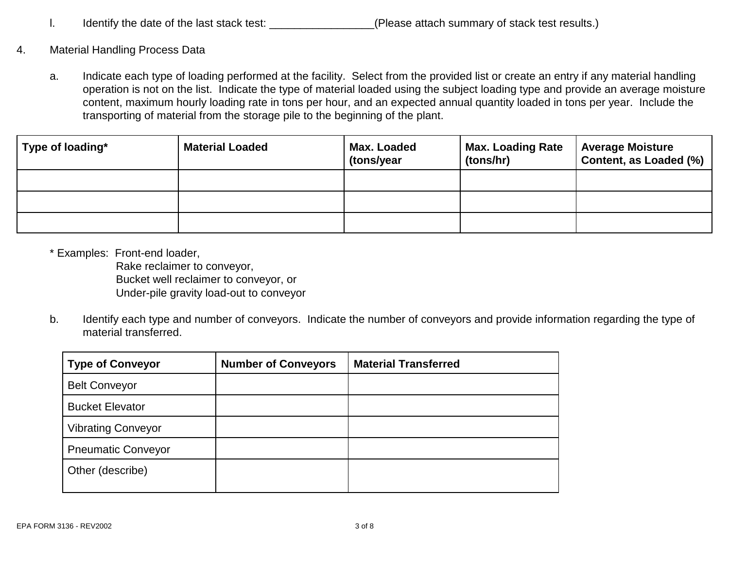- I. Identify the date of the last stack test: \_\_\_\_\_\_\_\_\_\_\_\_\_\_\_\_\_\_(Please attach summary of stack test results.)
- 4. Material Handling Process Data
	- a. Indicate each type of loading performed at the facility. Select from the provided list or create an entry if any material handling operation is not on the list. Indicate the type of material loaded using the subject loading type and provide an average moisture content, maximum hourly loading rate in tons per hour, and an expected annual quantity loaded in tons per year. Include the transporting of material from the storage pile to the beginning of the plant.

| Type of loading* | <b>Material Loaded</b> | Max. Loaded<br>(tons/year | <b>Max. Loading Rate</b><br>(tons/hr) | <b>Average Moisture</b><br>Content, as Loaded (%) |
|------------------|------------------------|---------------------------|---------------------------------------|---------------------------------------------------|
|                  |                        |                           |                                       |                                                   |
|                  |                        |                           |                                       |                                                   |
|                  |                        |                           |                                       |                                                   |

\* Examples: Front-end loader,

Rake reclaimer to conveyor, Bucket well reclaimer to conveyor, or Under-pile gravity load-out to conveyor

b. Identify each type and number of conveyors. Indicate the number of conveyors and provide information regarding the type of material transferred.

| <b>Type of Conveyor</b>   | <b>Number of Conveyors</b> | <b>Material Transferred</b> |
|---------------------------|----------------------------|-----------------------------|
| <b>Belt Conveyor</b>      |                            |                             |
| <b>Bucket Elevator</b>    |                            |                             |
| <b>Vibrating Conveyor</b> |                            |                             |
| <b>Pneumatic Conveyor</b> |                            |                             |
| Other (describe)          |                            |                             |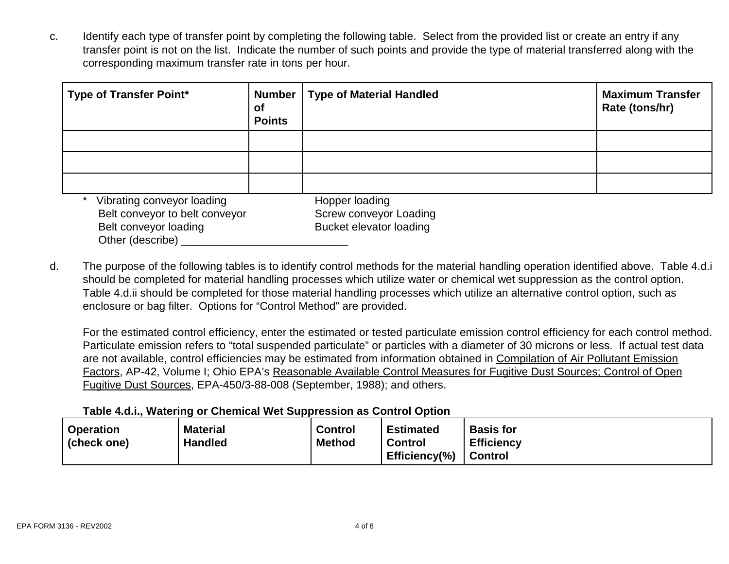c. Identify each type of transfer point by completing the following table. Select from the provided list or create an entry if any transfer point is not on the list. Indicate the number of such points and provide the type of material transferred along with the corresponding maximum transfer rate in tons per hour.

| <b>Type of Transfer Point*</b>                                                                            | <b>Number</b><br><b>of</b><br><b>Points</b> | <b>Type of Material Handled</b>                                            | <b>Maximum Transfer</b><br>Rate (tons/hr) |
|-----------------------------------------------------------------------------------------------------------|---------------------------------------------|----------------------------------------------------------------------------|-------------------------------------------|
|                                                                                                           |                                             |                                                                            |                                           |
|                                                                                                           |                                             |                                                                            |                                           |
|                                                                                                           |                                             |                                                                            |                                           |
| Vibrating conveyor loading<br>Belt conveyor to belt conveyor<br>Belt conveyor loading<br>Other (describe) |                                             | Hopper loading<br>Screw conveyor Loading<br><b>Bucket elevator loading</b> |                                           |

d. The purpose of the following tables is to identify control methods for the material handling operation identified above. Table 4.d.i should be completed for material handling processes which utilize water or chemical wet suppression as the control option. Table 4.d.ii should be completed for those material handling processes which utilize an alternative control option, such as enclosure or bag filter. Options for "Control Method" are provided.

For the estimated control efficiency, enter the estimated or tested particulate emission control efficiency for each control method. Particulate emission refers to "total suspended particulate" or particles with a diameter of 30 microns or less. If actual test data are not available, control efficiencies may be estimated from information obtained in Compilation of Air Pollutant Emission Factors, AP-42, Volume I; Ohio EPA's Reasonable Available Control Measures for Fugitive Dust Sources; Control of Open Fugitive Dust Sources, EPA-450/3-88-008 (September, 1988); and others.

#### **Table 4.d.i., Watering or Chemical Wet Suppression as Control Option**

| <b>Operation</b><br>(check one) | <b>Material</b><br><b>Handled</b> | <b>Control</b><br><b>Method</b> | <b>Estimated</b><br><b>Control</b><br>Efficiency $(\%)$ | <b>Basis for</b><br><b>Efficiency</b><br><b>Control</b> |
|---------------------------------|-----------------------------------|---------------------------------|---------------------------------------------------------|---------------------------------------------------------|
|---------------------------------|-----------------------------------|---------------------------------|---------------------------------------------------------|---------------------------------------------------------|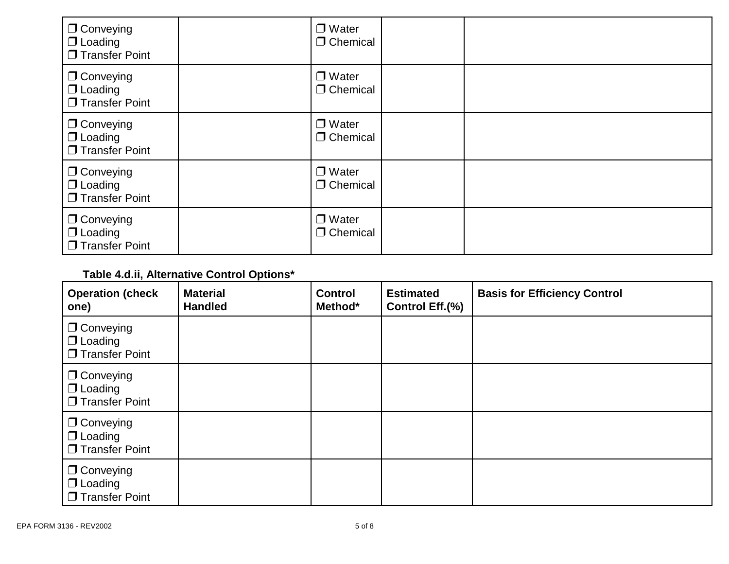| $\Box$ Conveying<br>$\Box$ Loading<br>$\Box$ Transfer Point | $\Box$ Water<br>$\Box$ Chemical |  |
|-------------------------------------------------------------|---------------------------------|--|
| $\Box$ Conveying<br>$\Box$ Loading<br>$\Box$ Transfer Point | $\Box$ Water<br>$\Box$ Chemical |  |
| $\Box$ Conveying<br>$\Box$ Loading<br>$\Box$ Transfer Point | $\Box$ Water<br>$\Box$ Chemical |  |
| $\Box$ Conveying<br>$\Box$ Loading<br>$\Box$ Transfer Point | $\Box$ Water<br>$\Box$ Chemical |  |
| $\Box$ Conveying<br>$\Box$ Loading<br>$\Box$ Transfer Point | $\Box$ Water<br>$\Box$ Chemical |  |

# **Table 4.d.ii, Alternative Control Options\***

| <b>Operation (check</b><br>one)                             | <b>Material</b><br><b>Handled</b> | <b>Control</b><br>Method* | <b>Estimated</b><br>Control Eff.(%) | <b>Basis for Efficiency Control</b> |
|-------------------------------------------------------------|-----------------------------------|---------------------------|-------------------------------------|-------------------------------------|
| $\Box$ Conveying<br>$\Box$ Loading<br>$\Box$ Transfer Point |                                   |                           |                                     |                                     |
| $\Box$ Conveying<br>$\Box$ Loading<br>$\Box$ Transfer Point |                                   |                           |                                     |                                     |
| $\Box$ Conveying<br>$\Box$ Loading<br>$\Box$ Transfer Point |                                   |                           |                                     |                                     |
| $\Box$ Conveying<br>$\Box$ Loading<br>$\Box$ Transfer Point |                                   |                           |                                     |                                     |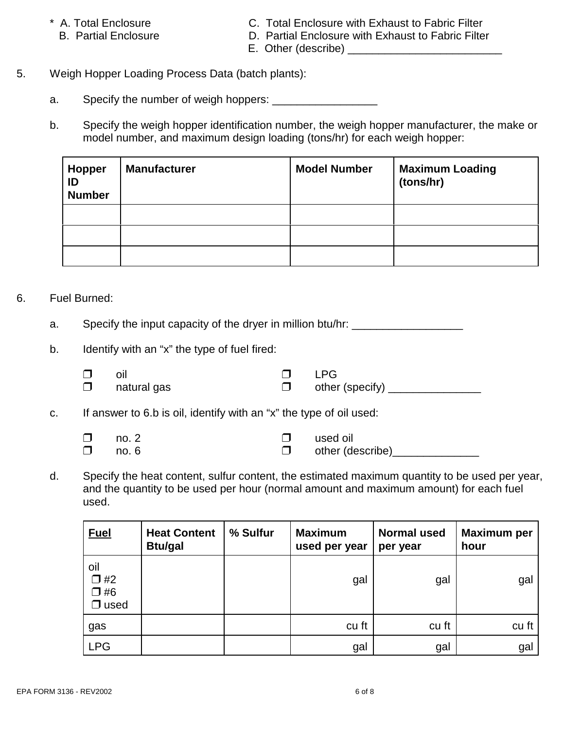- -
- \* A. Total Enclosure C. Total Enclosure with Exhaust to Fabric Filter
	- B. Partial Enclosure **D. Partial Enclosure with Exhaust to Fabric Filter** 
		- E. Other (describe) \_\_\_\_\_\_\_\_\_\_\_\_\_\_\_\_\_\_\_\_\_\_\_\_\_
- 5. Weigh Hopper Loading Process Data (batch plants):
	- a. Specify the number of weigh hoppers: \_\_\_\_\_\_\_\_\_\_\_\_\_\_\_\_\_
	- b. Specify the weigh hopper identification number, the weigh hopper manufacturer, the make or model number, and maximum design loading (tons/hr) for each weigh hopper:

| <b>Hopper</b><br>ID<br><b>Number</b> | <b>Manufacturer</b> | <b>Model Number</b> | <b>Maximum Loading</b><br>(tons/hr) |
|--------------------------------------|---------------------|---------------------|-------------------------------------|
|                                      |                     |                     |                                     |
|                                      |                     |                     |                                     |
|                                      |                     |                     |                                     |

## 6. Fuel Burned:

- a. Specify the input capacity of the dryer in million btu/hr:
- b. Identify with an "x" the type of fuel fired:

| $\Box$        | - oil<br>$\square$ natural gas                                                                                                                                                                                                            |                                                                                                                                                                                                                                 | $\square$ LPG<br>$\square$ other (specify) _____ |
|---------------|-------------------------------------------------------------------------------------------------------------------------------------------------------------------------------------------------------------------------------------------|---------------------------------------------------------------------------------------------------------------------------------------------------------------------------------------------------------------------------------|--------------------------------------------------|
| $\sim$ $\sim$ | $\sim$ . The set of the set of the set of the set of the set of the set of the set of the set of the set of the set of the set of the set of the set of the set of the set of the set of the set of the set of the set of the s<br>__ _ _ | $\sim$ . The contract of the contract of the contract of the contract of the contract of the contract of the contract of the contract of the contract of the contract of the contract of the contract of the contract of the co |                                                  |

c. If answer to 6.b is oil, identify with an "x" the type of oil used:

- $\Box$  no. 2  $\Box$  used oil  $\Box$  no. 6  $\Box$  other (describe)  $\Box$
- d. Specify the heat content, sulfur content, the estimated maximum quantity to be used per year, and the quantity to be used per hour (normal amount and maximum amount) for each fuel used.

| <b>Fuel</b>                                  | <b>Heat Content</b><br><b>Btu/gal</b> | % Sulfur | <b>Maximum</b><br>used per year | <b>Normal used</b><br>per year | <b>Maximum per</b><br>hour |
|----------------------------------------------|---------------------------------------|----------|---------------------------------|--------------------------------|----------------------------|
| oil<br>$\Box$ #2<br>$\Box$ #6<br>$\Box$ used |                                       |          | gal                             | gal                            | gal                        |
| gas                                          |                                       |          | cu ft                           | cu ft                          | cu ft                      |
| <b>LPG</b>                                   |                                       |          | gal                             | gal                            | gal                        |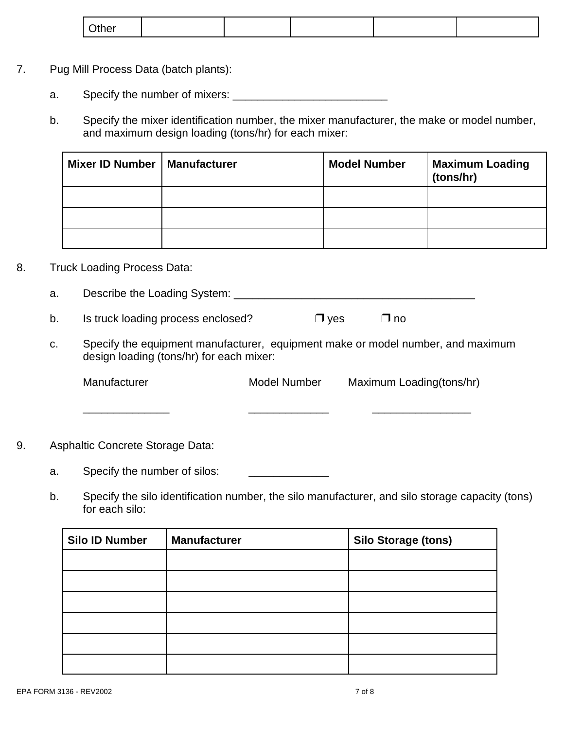| ∩ther<br>ו טווי |
|-----------------|
|-----------------|

- 7. Pug Mill Process Data (batch plants):
	- a. Specify the number of mixers: \_\_\_\_\_\_\_\_\_\_\_\_\_\_\_\_\_\_\_\_\_\_\_\_\_
	- b. Specify the mixer identification number, the mixer manufacturer, the make or model number, and maximum design loading (tons/hr) for each mixer:

| Mixer ID Number   Manufacturer | <b>Model Number</b> | <b>Maximum Loading</b><br>(tons/hr) |
|--------------------------------|---------------------|-------------------------------------|
|                                |                     |                                     |
|                                |                     |                                     |
|                                |                     |                                     |

#### 8. Truck Loading Process Data:

a. Describe the Loading System: \_\_\_\_\_\_\_\_\_\_\_\_\_\_\_\_\_\_\_\_\_\_\_\_\_\_\_\_\_\_\_\_\_\_\_\_\_\_\_

- b. Is truck loading process enclosed?  $\Box$  yes  $\Box$  no
- c. Specify the equipment manufacturer, equipment make or model number, and maximum design loading (tons/hr) for each mixer:

Manufacturer Model Number Maximum Loading(tons/hr)

\_\_\_\_\_\_\_\_\_\_\_\_\_\_ \_\_\_\_\_\_\_\_\_\_\_\_\_ \_\_\_\_\_\_\_\_\_\_\_\_\_\_\_\_

9. Asphaltic Concrete Storage Data:

a. Specify the number of silos:

b. Specify the silo identification number, the silo manufacturer, and silo storage capacity (tons) for each silo:

| <b>Silo ID Number</b> | <b>Manufacturer</b> | <b>Silo Storage (tons)</b> |
|-----------------------|---------------------|----------------------------|
|                       |                     |                            |
|                       |                     |                            |
|                       |                     |                            |
|                       |                     |                            |
|                       |                     |                            |
|                       |                     |                            |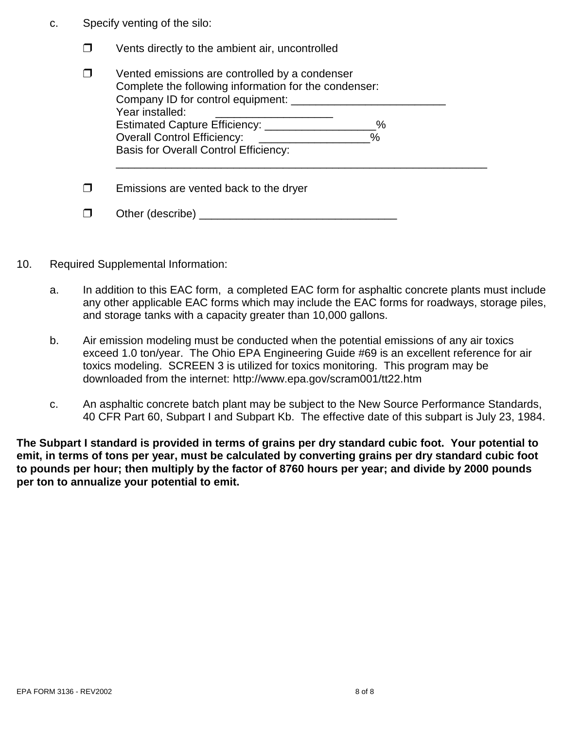- c. Specify venting of the silo:
	- $\Box$  Vents directly to the ambient air, uncontrolled

| Vented emissions are controlled by a condenser<br>Complete the following information for the condenser:<br>Company ID for control equipment: |  |  |
|----------------------------------------------------------------------------------------------------------------------------------------------|--|--|
| Year installed:                                                                                                                              |  |  |
| $\%$                                                                                                                                         |  |  |
| <b>Overall Control Efficiency:</b><br>$\%$                                                                                                   |  |  |
| <b>Basis for Overall Control Efficiency:</b>                                                                                                 |  |  |
| Emissions are vented back to the dryer                                                                                                       |  |  |
| Other (describe)                                                                                                                             |  |  |

- 10. Required Supplemental Information:
	- a. In addition to this EAC form, a completed EAC form for asphaltic concrete plants must include any other applicable EAC forms which may include the EAC forms for roadways, storage piles, and storage tanks with a capacity greater than 10,000 gallons.
	- b. Air emission modeling must be conducted when the potential emissions of any air toxics exceed 1.0 ton/year. The Ohio EPA Engineering Guide #69 is an excellent reference for air toxics modeling. SCREEN 3 is utilized for toxics monitoring. This program may be downloaded from the internet: http://www.epa.gov/scram001/tt22.htm
	- c. An asphaltic concrete batch plant may be subject to the New Source Performance Standards, 40 CFR Part 60, Subpart I and Subpart Kb. The effective date of this subpart is July 23, 1984.

**The Subpart I standard is provided in terms of grains per dry standard cubic foot. Your potential to emit, in terms of tons per year, must be calculated by converting grains per dry standard cubic foot to pounds per hour; then multiply by the factor of 8760 hours per year; and divide by 2000 pounds per ton to annualize your potential to emit.**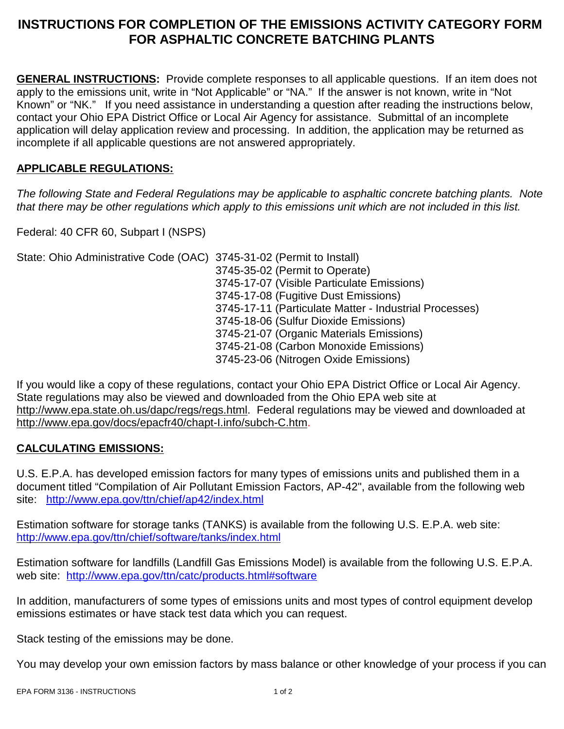# **INSTRUCTIONS FOR COMPLETION OF THE EMISSIONS ACTIVITY CATEGORY FORM FOR ASPHALTIC CONCRETE BATCHING PLANTS**

**GENERAL INSTRUCTIONS:** Provide complete responses to all applicable questions. If an item does not apply to the emissions unit, write in "Not Applicable" or "NA." If the answer is not known, write in "Not Known" or "NK." If you need assistance in understanding a question after reading the instructions below, contact your Ohio EPA District Office or Local Air Agency for assistance. Submittal of an incomplete application will delay application review and processing. In addition, the application may be returned as incomplete if all applicable questions are not answered appropriately.

## **APPLICABLE REGULATIONS:**

*The following State and Federal Regulations may be applicable to asphaltic concrete batching plants. Note that there may be other regulations which apply to this emissions unit which are not included in this list.*

Federal: 40 CFR 60, Subpart I (NSPS)

State: Ohio Administrative Code (OAC) 3745-31-02 (Permit to Install)

3745-35-02 (Permit to Operate) 3745-17-07 (Visible Particulate Emissions) 3745-17-08 (Fugitive Dust Emissions) 3745-17-11 (Particulate Matter - Industrial Processes) 3745-18-06 (Sulfur Dioxide Emissions) 3745-21-07 (Organic Materials Emissions) 3745-21-08 (Carbon Monoxide Emissions) 3745-23-06 (Nitrogen Oxide Emissions)

If you would like a copy of these regulations, contact your Ohio EPA District Office or Local Air Agency. State regulations may also be viewed and downloaded from the Ohio EPA web site at http://www.epa.state.oh.us/dapc/regs/regs.html. Federal regulations may be viewed and downloaded at http://www.epa.gov/docs/epacfr40/chapt-I.info/subch-C.htm.

## **CALCULATING EMISSIONS:**

U.S. E.P.A. has developed emission factors for many types of emissions units and published them in a document titled "Compilation of Air Pollutant Emission Factors, AP-42", available from the following web site: http://www.epa.gov/ttn/chief/ap42/index.html

Estimation software for storage tanks (TANKS) is available from the following U.S. E.P.A. web site: http://www.epa.gov/ttn/chief/software/tanks/index.html

Estimation software for landfills (Landfill Gas Emissions Model) is available from the following U.S. E.P.A. web site: http://www.epa.gov/ttn/catc/products.html#software

In addition, manufacturers of some types of emissions units and most types of control equipment develop emissions estimates or have stack test data which you can request.

Stack testing of the emissions may be done.

You may develop your own emission factors by mass balance or other knowledge of your process if you can